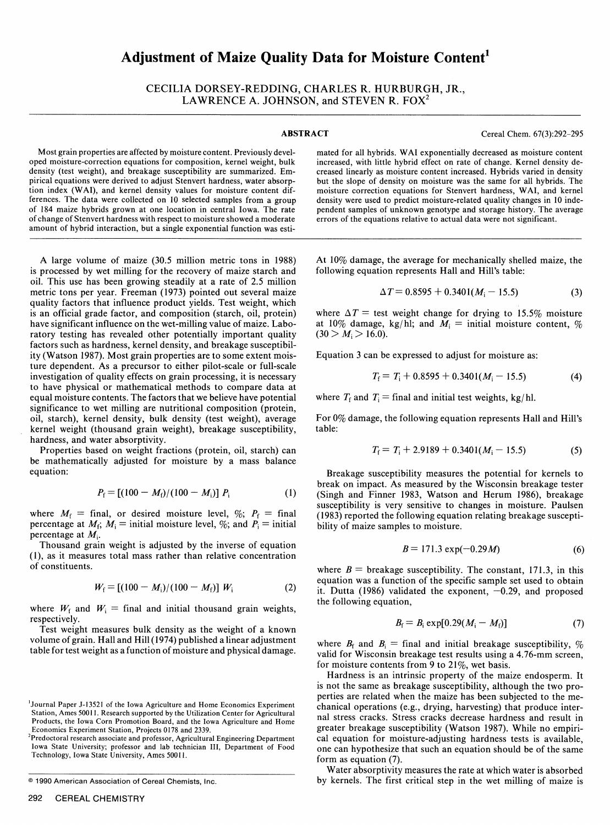# **Adjustment of Maize Quality Data for Moisture Content'**

CECILIA DORSEY-REDDING, CHARLES R. HURBURGH, JR., LAWRENCE A. JOHNSON, and STEVEN R. FOX<sup>2</sup>

**ABSTRACT** Cereal Chem. 67(3):292-295

Most grain properties are affected by moisture content. Previously devel-<br>And for all hybrids. WAI exponentially decreased as moisture content oped moisture-correction equations for composition, kernel weight, bulk<br>increas density (test weight), and breakage susceptibility are summarized. Em-<br>pirical equations were derived to adjust Stenvert hardness, water absorppirical equations were derived to adjust Stenvert hardness, water absorp-<br>
tion index (WAI), and kernel density values for moisture content dif-<br>
moisture correction equations for Stenvert hardness. WAI, and kernel ferences. The data were collected on 10 selected samples from a group density were used to predict moisture-related quality changes in 10 inde-<br>of 184 maize hybrids grown at one location in central Iowa. The rate pendent s of 184 maize hybrids grown at one location in central Iowa. The rate of change of Stenvert hardness with respect to moisture showed a moderate errors of the equations relative to actual data were not significant. amount of hybrid interaction, but a single exponential function was esti-

A large volume of maize (30.5 million metric tons in 1988) is processed by wet milling for the recovery of maize starch and oil. This use has been growing steadily at a rate of 2.5 million metric tons per year. Freeman (1973) pointed out several maize quality factors that influence product yields. Test weight, which is an official grade factor, and composition (starch, oil, protein) have significant influence on the wet-milling value of maize. Laboratory testing has revealed other potentially important quality factors such as hardness, kernel density, and breakage susceptibility (Watson 1987). Most grain properties are to some extent moisture dependent. As a precursor to either pilot-scale or full-scale investigation of quality effects on grain processing, it is necessary to have physical or mathematical methods to compare data at equal moisture contents. The factors that we believe have potential significance to wet milling are nutritional composition (protein, oil, starch), kernel density, bulk density (test weight), average kernel weight (thousand grain weight), breakage susceptibility, hardness, and water absorptivity.

Properties based on weight fractions (protein, oil, starch) can be mathematically adjusted for moisture by a mass balance equation:

$$
P_{\rm f} = [(100 - M_{\rm f})/(100 - M_{\rm i})] P_{\rm i}
$$
 (1)

where  $M_f$  = final, or desired moisture level,  $\%$ ;  $P_f$  = final percentage at  $M_f$ ;  $M_i$  = initial moisture level, %; and  $P_i$  = initial percentage at *Mi.*

Thousand grain weight is adjusted by the inverse of equation (1), as it measures total mass rather than relative concentration of constituents.

$$
W_{\rm f} = [(100 - M_{\rm i})/(100 - M_{\rm f})] W_{\rm i}
$$
 (2)

where  $W_f$  and  $W_i$  = final and initial thousand grain weights, respectively.

Test weight measures bulk density as the weight of a known volume of grain. Hall and Hill (1974) published a linear adjustment table for test weight as a function of moisture and physical damage.

<sup>2</sup>Predoctoral research associate and professor, Agricultural Engineering Department Iowa State University; professor and lab technician III, Department of Food Technology, Iowa State University, Ames 50011.

increased, with little hybrid effect on rate of change. Kernel density decreased linearly as moisture content increased. Hybrids varied in density moisture correction equations for Stenvert hardness, WAI, and kernel density were used to predict moisture-related quality changes in 10 inde-

At 10% damage, the average for mechanically shelled maize, the following equation represents Hall and Hill's table:

$$
\Delta T = 0.8595 + 0.3401(M_{\rm i} - 15.5) \tag{3}
$$

where  $\Delta T$  = test weight change for drying to 15.5% moisture at 10% damage, kg/hl; and  $M_i$  = initial moisture content, %  $(30 > M<sub>i</sub> > 16.0).$ 

Equation 3 can be expressed to adjust for moisture as:

$$
T_{\rm f} = T_{\rm i} + 0.8595 + 0.3401(M_{\rm i} - 15.5) \tag{4}
$$

where  $T_f$  and  $T_i$  = final and initial test weights, kg/hl.

For 0% damage, the following equation represents Hall and Hill's table:

$$
T_{\rm f} = T_{\rm i} + 2.9189 + 0.3401(M_{\rm i} - 15.5) \tag{5}
$$

Breakage susceptibility measures the potential for kernels to break on impact. As measured by the Wisconsin breakage tester (Singh and Finner 1983, Watson and Herum 1986), breakage susceptibility is very sensitive to changes in moisture. Paulsen (1983) reported the following equation relating breakage susceptibility of maize samples to moisture.

$$
B = 171.3 \exp(-0.29M) \tag{6}
$$

where  $B =$  breakage susceptibility. The constant, 171.3, in this equation was a function of the specific sample set used to obtain it. Dutta (1986) validated the exponent,  $-0.29$ , and proposed the following equation,

$$
B_{\rm f} = B_{\rm i} \exp[0.29(M_{\rm i} - M_{\rm f})] \tag{7}
$$

where  $B_f$  and  $B_i$  = final and initial breakage susceptibility,  $\%$ valid for Wisconsin breakage test results using a 4.76-mm screen, for moisture contents from 9 to 21%, wet basis.

Hardness is an intrinsic property of the maize endosperm. It is not the same as breakage susceptibility, although the two properties are related when the maize has been subjected to the mechanical operations (e.g., drying, harvesting) that produce internal stress cracks. Stress cracks decrease hardness and result in greater breakage susceptibility (Watson 1987). While no empirical equation for moisture-adjusting hardness tests is available, one can hypothesize that such an equation should be of the same form as equation (7).

Water absorptivity measures the rate at which water is absorbed by kernels. The first critical step in the wet milling of maize is

Journal Paper J-13521 of the Iowa Agriculture and Home Economics Experiment Station, Ames 50011. Research supported by the Utilization Center for Agricultural Products, the Iowa Corn Promotion Board, and the Iowa Agriculture and Home Economics Experiment Station, Projects 0178 and 2339. <sup>2</sup>

<sup>© 1990</sup> American Association of Cereal Chemists, Inc.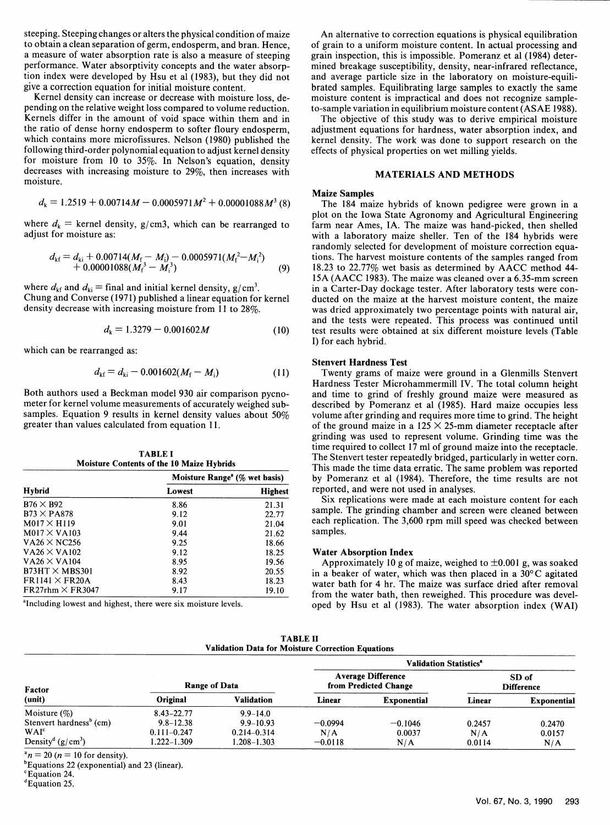steeping. Steeping changes or alters the physical condition of maize to obtain a clean separation of germ, endosperm, and bran. Hence, a measure of water absorption rate is also a measure of steeping performance. Water absorptivity concepts and the water absorption index were developed by Hsu et al (1983), but they did not give a correction equation for initial moisture content.

Kernel density can increase or decrease with moisture loss, depending on the relative weight loss compared to volume reduction. Kernels differ in the amount of void space within them and in the ratio of dense horny endosperm to softer floury endosperm, which contains more microfissures. Nelson (1980) published the following third-order polynomial equation to adjust kernel density for moisture from 10 to 35%. In Nelson's equation, density decreases with increasing moisture to 29%, then increases with moisture.

$$
d_{k} = 1.2519 + 0.00714M - 0.0005971M^{2} + 0.00001088M^{3}
$$
 (8)

where  $d_k$  = kernel density, g/cm3, which can be rearranged to adjust for moisture as:

$$
d_{\mathrm{kf}} = d_{\mathrm{k}i} + 0.00714(M_{\mathrm{f}} - M_{\mathrm{i}}) - 0.0005971(M_{\mathrm{f}}^2 - M_{\mathrm{i}}^2) + 0.00001088(M_{\mathrm{f}}^3 - M_{\mathrm{i}}^3)
$$
 (9)

where  $d_{\text{kf}}$  and  $d_{\text{ki}}$  = final and initial kernel density, g/cm<sup>3</sup>. Chung and Converse (1971) published a linear equation for kernel density decrease with increasing moisture from 11 to 28%.

$$
d_{k} = 1.3279 - 0.001602M \tag{10}
$$

which can be rearranged as:

$$
d_{\rm kf} = d_{\rm ki} - 0.001602(M_{\rm f} - M_{\rm i})\tag{11}
$$

Both authors used a Beckman model 930 air comparison pycnometer for kernel volume measurements of accurately weighed subsamples. Equation 9 results in kernel density values about 50% greater than values calculated from equation 11.

| <b>Hybrid</b>              | Moisture Range <sup>a</sup> ( $\%$ wet basis) |                |  |  |
|----------------------------|-----------------------------------------------|----------------|--|--|
|                            | Lowest                                        | <b>Highest</b> |  |  |
| $B76 \times B92$           | 8.86                                          | 21.31          |  |  |
| $B73 \times P$ A878        | 9.12                                          | 22.77          |  |  |
| $M017 \times H119$         | 9.01                                          | 21.04          |  |  |
| $M017 \times VA103$        | 9.44                                          | 21.62          |  |  |
| $VA26 \times NC256$        | 9.25                                          | 18.66          |  |  |
| $VA26 \times VA102$        | 9.12                                          | 18.25          |  |  |
| $VA26 \times VA104$        | 8.95                                          | 19.56          |  |  |
| $B73HT \times MBS301$      | 8.92                                          | 20.55          |  |  |
| $FR1141 \times FR20A$      | 8.43                                          | 18.23          |  |  |
| $FR27$ rhm $\times$ FR3047 | 9.17                                          | 19.10          |  |  |

**TABLE I Moisture Contents of the 10 Maize Hybrids**

<sup>a</sup>Including lowest and highest, there were six moisture levels.

An alternative to correction equations is physical equilibration of grain to a uniform moisture content. In actual processing and grain inspection, this is impossible. Pomeranz et al (1984) determined breakage susceptibility, density, near-infrared reflectance, and average particle size in the laboratory on moisture-equili-<br>brated samples. Equilibrating large samples to exactly the same moisture content is impractical and does not recognize sampleto-sample variation in equilibrium moisture content (ASAE 1988).

The objective of this study was to derive empirical moisture adjustment equations for hardness, water absorption index, and kernel density. The work was done to support research on the effects of physical properties on wet milling yields.

### **MATERIALS AND METHODS**

#### **Maize Samples**

The 184 maize hybrids of known pedigree were grown in a plot on the Iowa State Agronomy and Agricultural Engineering farm near Ames, IA. The maize was hand-picked, then shelled with a laboratory maize sheller. Ten of the 184 hybrids were randomly selected for development of moisture correction equations. The harvest moisture contents of the samples ranged from 18.23 to 22.77% wet basis as determined by AACC method 44- 15A (AACC 1983). The maize was cleaned over a 6.35-mm screen in a Carter-Day dockage tester. After laboratory tests were conducted on the maize at the harvest moisture content, the maize was dried approximately two percentage points with natural air, and the tests were repeated. This process was continued until test results were obtained at six different moisture levels (Table **I)** for each hybrid.

#### **Stenvert Hardness Test**

Twenty grams of maize were ground in a Glenmills Stenvert Hardness Tester Microhammermill IV. The total column height and time to grind of freshly ground maize were measured as described by Pomeranz et al (1985). Hard maize occupies less volume after grinding and requires more time to grind. The height of the ground maize in a  $125 \times 25$ -mm diameter receptacle after grinding was used to represent volume. Grinding time was the time required to collect 17 ml of ground maize into the receptacle. The Stenvert tester repeatedly bridged, particularly in wetter corn. This made the time data erratic. The same problem was reported by Pomeranz et al (1984). Therefore, the time results are not reported, and were not used in analyses.

Six replications were made at each moisture content for each sample. The grinding chamber and screen were cleaned between each replication. The 3,600 rpm mill speed was checked between samples.

#### **Water Absorption Index**

Approximately 10 g of maize, weighed to  $\pm 0.001$  g, was soaked in a beaker of water, which was then placed in a  $30^{\circ}$ C agitated water bath for 4 hr. The maize was surface dried after removal from the water bath, then reweighed. This procedure was developed by Hsu et al (1983). The water absorption index (WAI)

| <b>TABLE II</b>                                          |  |  |  |  |  |  |  |
|----------------------------------------------------------|--|--|--|--|--|--|--|
| <b>Validation Data for Moisture Correction Equations</b> |  |  |  |  |  |  |  |

| Factor<br>(unit)                          |                 |                   | <b>Validation Statistics<sup>8</sup></b>           |                    |                            |                    |
|-------------------------------------------|-----------------|-------------------|----------------------------------------------------|--------------------|----------------------------|--------------------|
|                                           | Range of Data   |                   | <b>Average Difference</b><br>from Predicted Change |                    | SD of<br><b>Difference</b> |                    |
|                                           | <b>Original</b> | <b>Validation</b> | Linear                                             | <b>Exponential</b> | Linear                     | <b>Exponential</b> |
| Moisture $(\%)$                           | $8.43 - 22.77$  | $9.9 - 14.0$      |                                                    |                    |                            |                    |
| Stenvert hardness <sup>b</sup> (cm)       | $9.8 - 12.38$   | $9.9 - 10.93$     | $-0.0994$                                          | $-0.1046$          | 0.2457                     | 0.2470             |
| WAI <sup>c</sup>                          | $0.111 - 0.247$ | $0.214 - 0.314$   | N/A                                                | 0.0037             | N/A                        | 0.0157             |
| Density <sup>d</sup> (g/cm <sup>3</sup> ) | 1.222–1.309     | $0.208 - 1.303$   | $-0.0118$                                          | N/A                | 0.0114                     | N/A                |

 $a^n n = 20$  ( $n = 10$  for density).

 $b$ Equations 22 (exponential) and 23 (linear).

**C** Equation 24.

dEquation 25.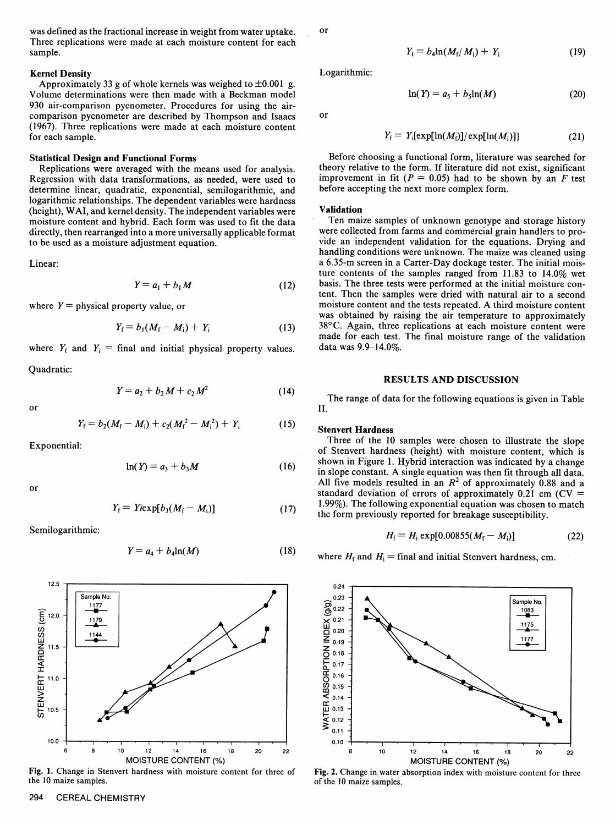was defined as the fractional increase in weight from water uptake. Three replications were made at each moisture content for each sample.

### **Kernel Density**

Approximately 33 g of whole kernels was weighed to  $\pm 0.001$  g. Volume determinations were then made with a Beckman model 930 air-comparison pycnometer. Procedures for using the aircomparison pycnometer are described by Thompson and Isaacs (1967). Three replications were made at each moisture content for each sample.

# **Statistical Design and Functional Forms**

Replications were averaged with the means used for analysis. Regression with data transformations, as needed, were used to determine linear, quadratic, exponential, semilogarithmic, and logarithmic relationships. The dependent variables were hardness (height), WAI, and kernel density. The independent variables were moisture content and hybrid. Each form was used to fit the data directly, then rearranged into a more universally applicable format to be used as a moisture adjustment equation.

Linear:

$$
Y = a_1 + b_1 M \tag{12}
$$

where  $Y =$  physical property value, or

$$
Y_{\rm f} = b_{1}(M_{\rm f} - M_{\rm i}) + Y_{\rm i} \tag{13}
$$

where  $Y_f$  and  $Y_i$  = final and initial physical property values. Quadratic:

$$
Y = a_2 + b_2 M + c_2 M^2 \tag{14}
$$

$$
\quad \text{or} \quad
$$

$$
Y_{\rm f} = b_2(M_{\rm f} - M_{\rm i}) + c_2(M_{\rm f}^2 - M_{\rm i}^2) + Y_{\rm i}
$$
 (15)

Exponential:

$$
\ln(Y) = a_3 + b_3 M \tag{16}
$$

or

$$
Y_{\rm f} = Y i \exp[b_3(M_{\rm f} - M_{\rm i})] \tag{17}
$$

Semilogarithmic:

$$
Y = a_4 + b_4 \ln(M) \tag{18}
$$



Fig. 1. Change in Stenvert hardness with moisture content for three of the 10 maize samples.

or

$$
Y_{\rm f}=b_4\ln(M_{\rm f}/M_{\rm i})+Y_{\rm i}\qquad \qquad (19)
$$

(20)

Logarithmic:

or

$$
Y_{\rm f} = Y_{\rm i} \{ \exp[\ln(M_{\rm f})] / \exp[\ln(M_{\rm i})] \} \tag{21}
$$

Before choosing a functional form, literature was searched for theory relative to the form. If literature did not exist, significant improvement in fit  $(P = 0.05)$  had to be shown by an F test before accepting the next more complex form.

 $ln(Y) = a_5 + b_5ln(M)$ 

#### **Validation**

Ten maize samples of unknown genotype and storage history were collected from farms and commercial grain handlers to provide an independent validation for the equations. Drying and handling conditions were unknown. The maize was cleaned using a 6.35-m screen in a Carter-Day dockage tester. The initial moisture contents of the samples ranged from 11.83 to 14.0% wet basis. The three tests were performed at the initial moisture content. Then the samples were dried with natural air to a second moisture content and the tests repeated. A third moisture content was obtained by raising the air temperature to approximately 38°C. Again, three replications at each moisture content were made for each test. The final moisture range of the validation data was 9.9-14.0%.

#### RESULTS AND DISCUSSION

The range of data for the following equations is given in Table II.

## **Stenvert Hardness**

Three of the 10 samples were chosen to illustrate the slope of Stenvert hardness (height) with moisture content, which is shown in Figure 1. Hybrid interaction was indicated by a change in slope constant. A single equation was then fit through all data. All five models resulted in an  $R^2$  of approximately 0.88 and a standard deviation of errors of approximately  $0.21$  cm (CV = 1.99%). The following exponential equation was chosen to match the form previously reported for breakage susceptibility.

$$
H_{\rm f} = H_{\rm i} \exp[0.00855(M_{\rm f} - M_{\rm i})] \tag{22}
$$

where  $H_f$  and  $H_i$  = final and initial Stenvert hardness, cm.



Fig. 2. Change in water absorption index with moisture content for three of the 10 maize samples.